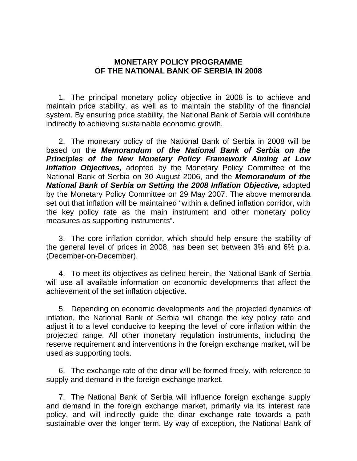## **MONETARY POLICY PROGRAMME OF THE NATIONAL BANK OF SERBIA IN 2008**

 1. The principal monetary policy objective in 2008 is to achieve and maintain price stability, as well as to maintain the stability of the financial system. By ensuring price stability, the National Bank of Serbia will contribute indirectly to achieving sustainable economic growth.

 2. The monetary policy of the National Bank of Serbia in 2008 will be based on the *Memorandum of the National Bank of Serbia on the Principles of the New Monetary Policy Framework Aiming at Low Inflation Objectives,* adopted by the Monetary Policy Committee of the National Bank of Serbia on 30 August 2006, and the *Memorandum of the National Bank of Serbia on Setting the 2008 Inflation Objective,* adopted by the Monetary Policy Committee on 29 May 2007. The above memoranda set out that inflation will be maintained "within a defined inflation corridor, with the key policy rate as the main instrument and other monetary policy measures as supporting instruments".

 3. The core inflation corridor, which should help ensure the stability of the general level of prices in 2008, has been set between 3% and 6% p.a. (December-on-December).

 4. To meet its objectives as defined herein, the National Bank of Serbia will use all available information on economic developments that affect the achievement of the set inflation objective.

 5. Depending on economic developments and the projected dynamics of inflation, the National Bank of Serbia will change the key policy rate and adjust it to a level conducive to keeping the level of core inflation within the projected range. All other monetary regulation instruments, including the reserve requirement and interventions in the foreign exchange market, will be used as supporting tools.

 6. The exchange rate of the dinar will be formed freely, with reference to supply and demand in the foreign exchange market.

7. The National Bank of Serbia will influence foreign exchange supply and demand in the foreign exchange market, primarily via its interest rate policy, and will indirectly guide the dinar exchange rate towards a path sustainable over the longer term. By way of exception, the National Bank of